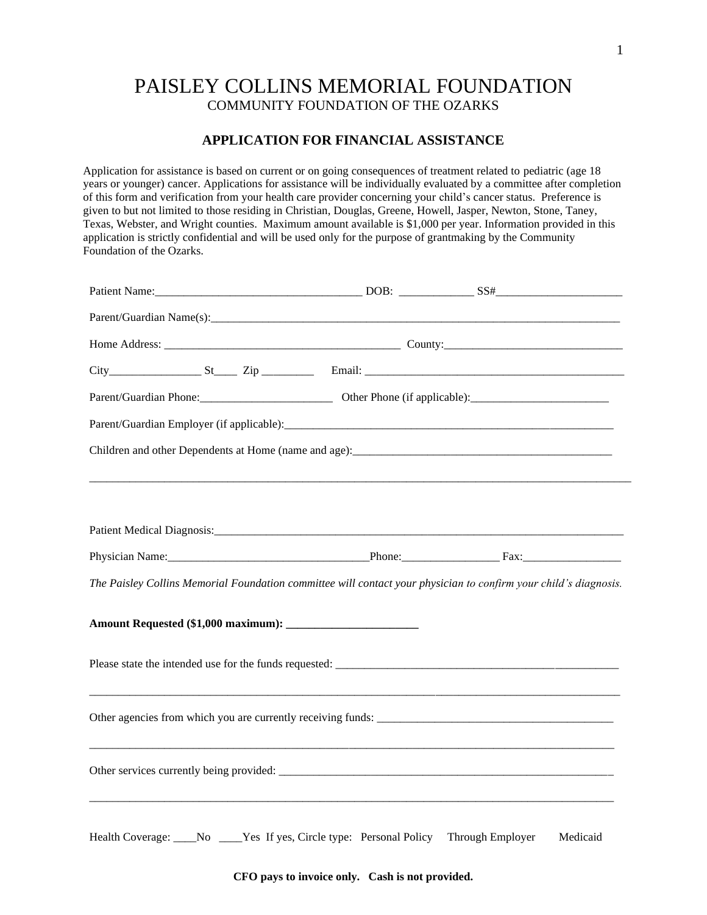## PAISLEY COLLINS MEMORIAL FOUNDATION COMMUNITY FOUNDATION OF THE OZARKS

## **APPLICATION FOR FINANCIAL ASSISTANCE**

Application for assistance is based on current or on going consequences of treatment related to pediatric (age 18 years or younger) cancer. Applications for assistance will be individually evaluated by a committee after completion of this form and verification from your health care provider concerning your child's cancer status. Preference is given to but not limited to those residing in Christian, Douglas, Greene, Howell, Jasper, Newton, Stone, Taney, Texas, Webster, and Wright counties. Maximum amount available is \$1,000 per year. Information provided in this application is strictly confidential and will be used only for the purpose of grantmaking by the Community Foundation of the Ozarks.

| The Paisley Collins Memorial Foundation committee will contact your physician to confirm your child's diagnosis. |                              |
|------------------------------------------------------------------------------------------------------------------|------------------------------|
|                                                                                                                  |                              |
|                                                                                                                  |                              |
|                                                                                                                  |                              |
| Other services currently being provided:                                                                         |                              |
| Health Coverage: ____No ____Yes If yes, Circle type: Personal Policy                                             | Through Employer<br>Medicaid |